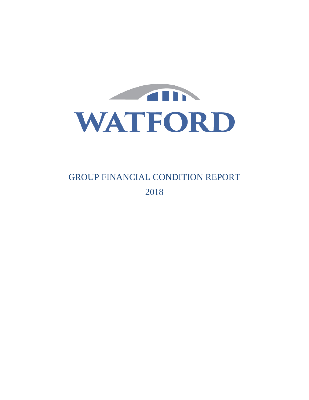

GROUP FINANCIAL CONDITION REPORT 2018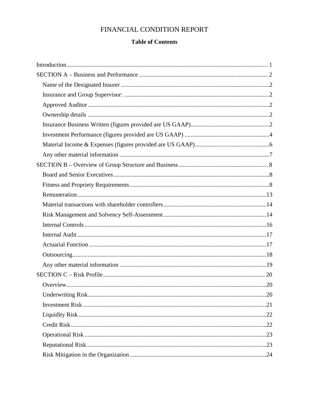# FINANCIAL CONDITION REPORT

# **Table of Contents**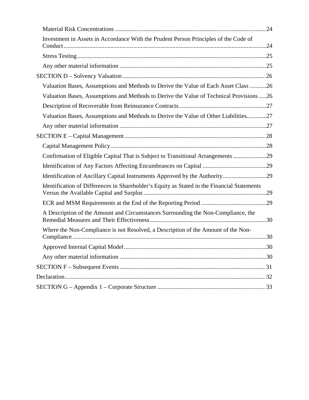| Investment in Assets in Accordance With the Prudent Person Principles of the Code of        |  |
|---------------------------------------------------------------------------------------------|--|
|                                                                                             |  |
|                                                                                             |  |
|                                                                                             |  |
| Valuation Bases, Assumptions and Methods to Derive the Value of Each Asset Class 26         |  |
| Valuation Bases, Assumptions and Methods to Derive the Value of Technical Provisions 26     |  |
|                                                                                             |  |
| Valuation Bases, Assumptions and Methods to Derive the Value of Other Liabilities27         |  |
|                                                                                             |  |
|                                                                                             |  |
|                                                                                             |  |
| Confirmation of Eligible Capital That is Subject to Transitional Arrangements 29            |  |
|                                                                                             |  |
| Identification of Ancillary Capital Instruments Approved by the Authority29                 |  |
| Identification of Differences in Shareholder's Equity as Stated in the Financial Statements |  |
|                                                                                             |  |
| A Description of the Amount and Circumstances Surrounding the Non-Compliance, the           |  |
| Where the Non-Compliance is not Resolved, a Description of the Amount of the Non-           |  |
|                                                                                             |  |
|                                                                                             |  |
|                                                                                             |  |
|                                                                                             |  |
|                                                                                             |  |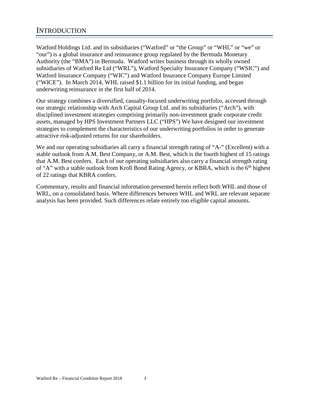<span id="page-3-0"></span>Watford Holdings Ltd. and its subsidiaries ("Watford" or "the Group" or "WHL" or "we" or "our") is a global insurance and reinsurance group regulated by the Bermuda Monetary Authority (the "BMA") in Bermuda. Watford writes business through its wholly owned subsidiaries of Watford Re Ltd ("WRL"), Watford Specialty Insurance Company ("WSIC") and Watford Insurance Company ("WIC") and Watford Insurance Company Europe Limited ("WICE"). In March 2014, WHL raised \$1.1 billion for its initial funding, and began underwriting reinsurance in the first half of 2014.

Our strategy combines a diversified, casualty-focused underwriting portfolio, accessed through our strategic relationship with Arch Capital Group Ltd. and its subsidiaries ("Arch"), with disciplined investment strategies comprising primarily non-investment grade corporate credit assets, managed by HPS Investment Partners LLC ("HPS") We have designed our investment strategies to complement the characteristics of our underwriting portfolios in order to generate attractive risk-adjusted returns for our shareholders.

We and our operating subsidiaries all carry a financial strength rating of "A-" (Excellent) with a stable outlook from A.M. Best Company, or A.M. Best, which is the fourth highest of 15 ratings that A.M. Best confers. Each of our operating subsidiaries also carry a financial strength rating of "A" with a stable outlook from Kroll Bond Rating Agency, or KBRA, which is the 6<sup>th</sup> highest of 22 ratings that KBRA confers.

Commentary, results and financial information presented herein reflect both WHL and those of WRL, on a consolidated basis. Where differences between WHL and WRL are relevant separate analysis has been provided. Such differences relate entirely too eligible capital amounts.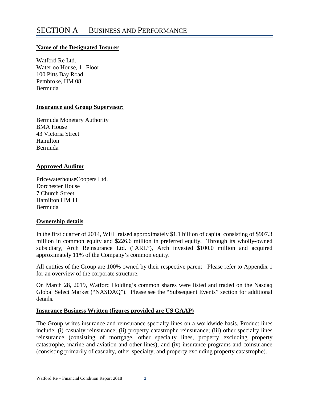### <span id="page-4-1"></span><span id="page-4-0"></span>**Name of the Designated Insurer**

Watford Re Ltd. Waterloo House, 1<sup>st</sup> Floor 100 Pitts Bay Road Pembroke, HM 08 Bermuda

### <span id="page-4-2"></span>**Insurance and Group Supervisor:**

Bermuda Monetary Authority BMA House 43 Victoria Street Hamilton Bermuda

# <span id="page-4-3"></span>**Approved Auditor**

PricewaterhouseCoopers Ltd. Dorchester House 7 Church Street Hamilton HM 11 Bermuda

# <span id="page-4-4"></span>**Ownership details**

In the first quarter of 2014, WHL raised approximately \$1.1 billion of capital consisting of \$907.3 million in common equity and \$226.6 million in preferred equity. Through its wholly-owned subsidiary, Arch Reinsurance Ltd. ("ARL"), Arch invested \$100.0 million and acquired approximately 11% of the Company's common equity.

All entities of the Group are 100% owned by their respective parent Please refer to Appendix 1 for an overview of the corporate structure.

On March 28, 2019, Watford Holding's common shares were listed and traded on the Nasdaq Global Select Market ("NASDAQ"). Please see the "Subsequent Events" section for additional details.

# <span id="page-4-5"></span>**Insurance Business Written (figures provided are US GAAP)**

The Group writes insurance and reinsurance specialty lines on a worldwide basis. Product lines include: (i) casualty reinsurance; (ii) property catastrophe reinsurance; (iii) other specialty lines reinsurance (consisting of mortgage, other specialty lines, property excluding property catastrophe, marine and aviation and other lines); and (iv) insurance programs and coinsurance (consisting primarily of casualty, other specialty, and property excluding property catastrophe).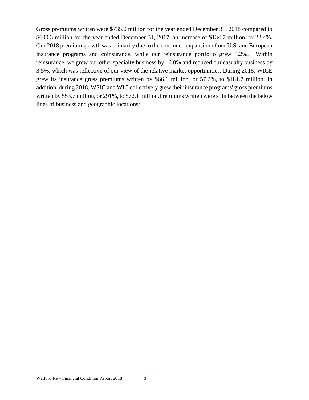Gross premiums written were \$735.0 million for the year ended December 31, 2018 compared to \$600.3 million for the year ended December 31, 2017, an increase of \$134.7 million, or 22.4%. Our 2018 premium growth was primarily due to the continued expansion of our U.S. and European insurance programs and coinsurance, while our reinsurance portfolio grew 3.2%. Within reinsurance, we grew our other specialty business by 16.0% and reduced our casualty business by 3.5%, which was reflective of our view of the relative market opportunities. During 2018, WICE grew its insurance gross premiums written by \$66.1 million, or 57.2%, to \$181.7 million. In addition, during 2018, WSIC and WIC collectively grew their insurance programs' gross premiums written by \$53.7 million, or 291%, to \$72.1 million.Premiums written were split between the below lines of business and geographic locations: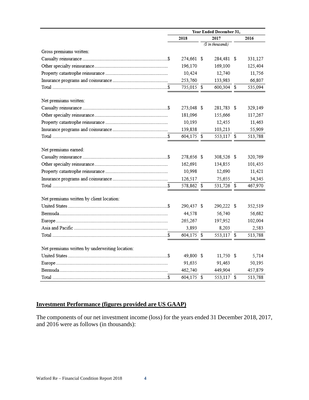|                                                | Year Ended December 31, |  |                   |  |         |
|------------------------------------------------|-------------------------|--|-------------------|--|---------|
|                                                | 2018                    |  | 2017              |  | 2016    |
|                                                |                         |  | (\$ in thousands) |  |         |
| Gross premiums written:                        |                         |  |                   |  |         |
|                                                | 274,661 \$              |  | 284,481 \$        |  | 331,127 |
|                                                | 196,170                 |  | 169,100           |  | 125,404 |
|                                                | 10,424                  |  | 12,740            |  | 11,756  |
|                                                | 253,760                 |  | 133,983           |  | 66,807  |
|                                                | 735,015 \$              |  | 600,304 \$        |  | 535,094 |
| Net premiums written:                          |                         |  |                   |  |         |
|                                                | 273,048 \$              |  | 281,783 \$        |  | 329,149 |
|                                                | 181,096                 |  | 155,666           |  | 117,267 |
|                                                | 10,193                  |  | 12,455            |  | 11,463  |
|                                                | 139,838                 |  | 103,213           |  | 55,909  |
|                                                | 604,175 \$              |  | 553,117 \$        |  | 513,788 |
| Net premiums earned:                           |                         |  |                   |  |         |
|                                                | 278,656 \$              |  | 308,526 \$        |  | 320,769 |
|                                                | 162,691                 |  | 134,855           |  | 101,435 |
|                                                | 10,998                  |  | 12,690            |  | 11,421  |
|                                                | 126,517                 |  | 75,655            |  | 34,345  |
|                                                | 578,862 \$              |  | 531,726 \$        |  | 467,970 |
| Net premiums written by client location:       |                         |  |                   |  |         |
|                                                | 290,437 \$              |  | 290,222 \$        |  | 352,519 |
|                                                | 44,578                  |  | 56,740            |  | 56,682  |
|                                                | 265,267                 |  | 197,952           |  | 102,004 |
|                                                | 3,893                   |  | 8,203             |  | 2,583   |
|                                                | 604,175 \$              |  | 553,117 \$        |  | 513,788 |
| Net premiums written by underwriting location: |                         |  |                   |  |         |
|                                                | 49,800 \$               |  | 11,750 \$         |  | 5,714   |
|                                                | 91,635                  |  | 91,463            |  | 50,195  |
|                                                | 462,740                 |  | 449,904           |  | 457,879 |
|                                                | 604,175 \$              |  | 553,117 \$        |  | 513,788 |

# <span id="page-6-0"></span>**Investment Performance (figures provided are US GAAP)**

The components of our net investment income (loss) for the years ended 31 December 2018, 2017, and 2016 were as follows (in thousands):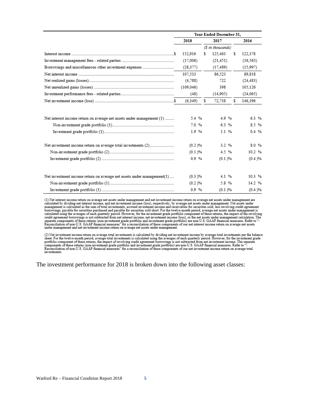|                                                                        | Year Ended December 31. |               |    |                   |    |              |
|------------------------------------------------------------------------|-------------------------|---------------|----|-------------------|----|--------------|
|                                                                        |                         | 2018          |    | 2017              |    | 2016         |
|                                                                        |                         |               |    | (\$ in thousands) |    |              |
|                                                                        |                         | 152.916       | s  | 125,463           | \$ | 122.378      |
|                                                                        |                         | (17,006)      |    | (21, 451)         |    | (16, 563)    |
| Borrowings and miscellaneous other investment expenses                 |                         | (28.377)      |    | (17, 489)         |    | (15,997)     |
|                                                                        |                         | 107.533       |    | 86.523            |    | 89.818       |
|                                                                        |                         | (4,788)       |    | 722               |    | (24, 483)    |
|                                                                        |                         | (109, 046)    |    | 398               |    | 105,126      |
|                                                                        |                         | (48)          |    | (14,905)          |    | (24,065)     |
|                                                                        |                         | (6.349)       | \$ | 72.738            | s. | 146.396      |
| Net interest income return on average net assets under management (1)  |                         | 5.4 %<br>7.0% |    | 4.9%<br>6.3%      |    | 6.3%<br>8.5% |
|                                                                        |                         | 1.9%          |    | 1.1%              |    | 0.4%         |
| Net investment income return on average total investments (2)          |                         | (0.2)%        |    | 3.2 %             |    | 8.0%         |
|                                                                        |                         | (0.1)%        |    | 4.5%              |    | 10.2%        |
|                                                                        |                         | 0.9%          |    | (0.1)%            |    | (0.4)%       |
| Net investment income return on average net assets under management(1) |                         | (0.3)%        |    | 4.1 %             |    | 10.3%        |
|                                                                        |                         | $(0.2) \%$    |    | 5.8%              |    | 14.2 %       |
|                                                                        |                         | 0.9%          |    | (0.1)%            |    | (0.4)%       |

(1) Net interest income return on average net assets under management and net investment income return on average net assets under management are calculated by dividing net interest income, and net investment income (loss), respectively, by average net assets under management. Net assets under<br>management is calculated as the sum of total investments, accrued investm borrowings, payable for securities purchased and payable for securities sold short. For the twelve month period, average net assets under management is calculated using the averages of each quarterly period. However, for t separate components of these returns (non-investment grade portfolio and investment grade portfolio) are non-U.S. GAAP financial measures. Refer to "-<br>Reconciliation of non-U.S. GAAP financial measures" for a reconciliatio under management and net investment income return on average net assets under management.

(2) Net investment income return on average total investments is calculated by dividing net investment income by average total investments per the balance<br>sheet. For the twelve month period, average total investments is ca components of these returns (non-investment grade portfolio and investment schewings as non-U.S. GAAP financial measures. Refer to "-<br>Reconciliation of non-U.S. GAAP financial measures" for a reconciliation of these compon investments.

The investment performance for 2018 is broken down into the following asset classes: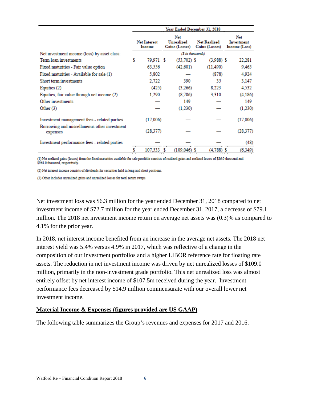|                                                          |   |                               |                                     | Year Ended December 31, 2018          |                                    |
|----------------------------------------------------------|---|-------------------------------|-------------------------------------|---------------------------------------|------------------------------------|
|                                                          |   | <b>Net Interest</b><br>Income | Net<br>Unrealized<br>Gains (Losses) | <b>Net Realized</b><br>Gains (Losses) | Net<br>Investment<br>Income (Loss) |
| Net investment income (loss) by asset class:             |   |                               |                                     | (\$ in thousands)                     |                                    |
| Term loan investments                                    | s | 79.971 \$                     | $(53,702)$ \$                       | $(3,988)$ \$                          | 22,281                             |
| Fixed maturities - Fair value option                     |   | 63,556                        | (42.601)                            | (11.490)                              | 9.465                              |
| Fixed maturities - Available for sale (1)                |   | 5,802                         |                                     | (878)                                 | 4,924                              |
| Short term investments                                   |   | 2,722                         | 390                                 | 35                                    | 3,147                              |
| Equities $(2)$                                           |   | (425)                         | (3,266)                             | 8,223                                 | 4,532                              |
| Equities, fair value through net income (2)              |   | 1,290                         | (8,786)                             | 3,310                                 | (4,186)                            |
| Other investments                                        |   |                               | 149                                 |                                       | 149                                |
| Other $(3)$                                              |   |                               | (1,230)                             |                                       | (1,230)                            |
| Investment management fees - related parties             |   | (17,006)                      |                                     |                                       | (17,006)                           |
| Borrowing and miscellaneous other investment<br>expenses |   | (28, 377)                     |                                     |                                       | (28, 377)                          |
| Investment performance fees - related parties            |   |                               |                                     |                                       | (48)                               |
|                                                          |   | 107,533 \$                    | $(109,046)$ \$                      | $(4,788)$ \$                          | (6, 349)                           |

(1) Net realized gains (losses) from the fixed maturities available for sale portfolio consists of realized gains and realized losses of \$86.0 thousand and \$964.0 thousand, respectively.

(2) Net interest income consists of dividends for securities held in long and short positions.

(3) Other includes unrealized gains and unrealized losses for total return swaps.

Net investment loss was \$6.3 million for the year ended December 31, 2018 compared to net investment income of \$72.7 million for the year ended December 31, 2017, a decrease of \$79.1 million. The 2018 net investment income return on average net assets was (0.3)% as compared to 4.1% for the prior year.

In 2018, net interest income benefited from an increase in the average net assets. The 2018 net interest yield was 5.4% versus 4.9% in 2017, which was reflective of a change in the composition of our investment portfolios and a higher LIBOR reference rate for floating rate assets. The reduction in net investment income was driven by net unrealized losses of \$109.0 million, primarily in the non-investment grade portfolio. This net unrealized loss was almost entirely offset by net interest income of \$107.5m received during the year. Investment performance fees decreased by \$14.9 million commensurate with our overall lower net investment income.

# <span id="page-8-0"></span>**Material Income & Expenses (figures provided are US GAAP)**

The following table summarizes the Group's revenues and expenses for 2017 and 2016.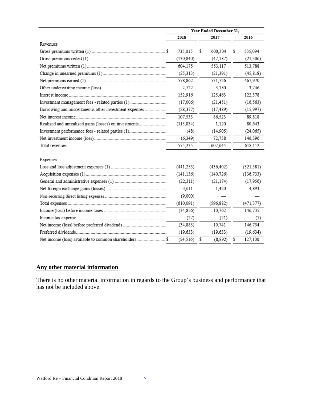|                                                       | Year Ended December 31, |                |               |  |
|-------------------------------------------------------|-------------------------|----------------|---------------|--|
|                                                       | 2018                    | 2017           | 2016          |  |
| Revenues                                              |                         |                |               |  |
|                                                       | 735.015                 | \$<br>600.304  | \$<br>535,094 |  |
|                                                       | (130, 840)              | (47, 187)      | (21, 306)     |  |
|                                                       | 604,175                 | 553,117        | 513,788       |  |
|                                                       | (25,313)                | (21.391)       | (45, 818)     |  |
|                                                       | 578,862                 | 531,726        | 467,970       |  |
|                                                       | 2.722                   | 3.180          | 3.746         |  |
|                                                       | 152,916                 | 125,463        | 122,378       |  |
| Investment management fees - related parties (1)      | (17,006)                | (21, 451)      | (16, 563)     |  |
| Borrowing and miscellaneous other investment expenses | (28, 377)               | (17, 489)      | (15,997)      |  |
|                                                       | 107,533                 | 86.523         | 89,818        |  |
| Realized and unrealized gains (losses) on investments | (113, 834)              | 1,120          | 80.643        |  |
| Investment performance fees - related parties (1)     | (48)                    | (14,905)       | (24,065)      |  |
|                                                       | (6.349)                 | 72,738         | 146,396       |  |
|                                                       | 575,235                 | 607,644        | 618,112       |  |
|                                                       |                         |                |               |  |
| Expenses                                              |                         |                |               |  |
|                                                       | (441, 255)              | (436, 402)     | (321, 581)    |  |
|                                                       | (141, 136)              | (140, 726)     | (136, 733)    |  |
|                                                       | (22, 311)               | (21, 174)      | (17,956)      |  |
|                                                       | 3,611                   | 1,420          | 4,893         |  |
|                                                       | (9,000)                 |                |               |  |
|                                                       | (610, 091)              | (596, 882)     | (471, 377)    |  |
|                                                       | (34,856)                | 10,762         | 146,735       |  |
|                                                       | (27)                    | (21)           | (1)           |  |
|                                                       | (34, 883)               | 10,741         | 146,734       |  |
|                                                       | (19, 633)               | (19, 633)      | (19, 634)     |  |
| Net income (loss) available to common shareholders\$  | (54, 516)               | \$<br>(8, 892) | \$<br>127,100 |  |

# <span id="page-9-0"></span>**Any other material information**

There is no other material information in regards to the Group's business and performance that has not be included above.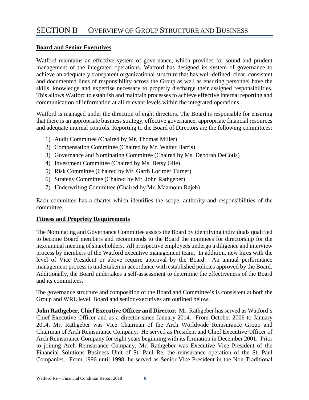# <span id="page-10-1"></span><span id="page-10-0"></span>**Board and Senior Executives**

Watford maintains an effective system of governance, which provides for sound and prudent management of the integrated operations. Watford has designed its system of governance to achieve an adequately transparent organizational structure that has well-defined, clear, consistent and documented lines of responsibility across the Group as well as ensuring personnel have the skills, knowledge and expertise necessary to properly discharge their assigned responsibilities. This allows Watford to establish and maintain processes to achieve effective internal reporting and communication of information at all relevant levels within the integrated operations.

Watford is managed under the direction of eight directors. The Board is responsible for ensuring that there is an appropriate business strategy, effective governance, appropriate financial resources and adequate internal controls. Reporting to the Board of Directors are the following committees:

- 1) Audit Committee (Chaired by Mr. Thomas Miller)
- 2) Compensation Committee (Chaired by Mr. Walter Harris)
- 3) Governance and Nominating Committee (Chaired by Ms. Deborah DeCotis)
- 4) Investment Committee (Chaired by Ms. Betsy Gile)
- 5) Risk Committee (Chaired by Mr. Garth Lorimer Turner)
- 6) Strategy Committee (Chaired by Mr. John Rathgeber)
- 7) Underwriting Committee (Chaired by Mr. Maamoun Rajeh)

Each committee has a charter which identifies the scope, authority and responsibilities of the committee.

# <span id="page-10-2"></span>**Fitness and Propriety Requirements**

The Nominating and Governance Committee assists the Board by identifying individuals qualified to become Board members and recommends to the Board the nominees for directorship for the next annual meeting of shareholders. All prospective employees undergo a diligence and interview process by members of the Watford executive management team. In addition, new hires with the level of Vice President or above require approval by the Board. An annual performance management process is undertaken in accordance with established policies approved by the Board. Additionally, the Board undertakes a self-assessment to determine the effectiveness of the Board and its committees.

The governance structure and composition of the Board and Committee's is consistent at both the Group and WRL level. Board and senior executives are outlined below:

**John Rathgeber, Chief Executive Officer and Director.** Mr. Rathgeber has served as Watford's Chief Executive Officer and as a director since January 2014. From October 2009 to January 2014, Mr. Rathgeber was Vice Chairman of the Arch Worldwide Reinsurance Group and Chairman of Arch Reinsurance Company. He served as President and Chief Executive Officer of Arch Reinsurance Company for eight years beginning with its formation in December 2001. Prior to joining Arch Reinsurance Company, Mr. Rathgeber was Executive Vice President of the Financial Solutions Business Unit of St. Paul Re, the reinsurance operation of the St. Paul Companies. From 1996 until 1998, he served as Senior Vice President in the Non-Traditional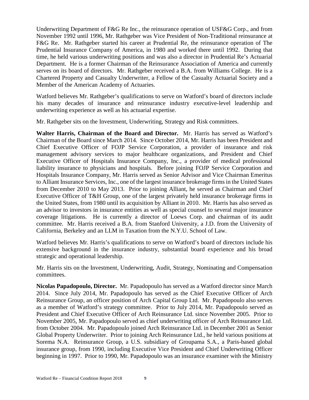Underwriting Department of F&G Re Inc., the reinsurance operation of USF&G Corp., and from November 1992 until 1996, Mr. Rathgeber was Vice President of Non-Traditional reinsurance at F&G Re. Mr. Rathgeber started his career at Prudential Re, the reinsurance operation of The Prudential Insurance Company of America, in 1980 and worked there until 1992. During that time, he held various underwriting positions and was also a director in Prudential Re's Actuarial Department. He is a former Chairman of the Reinsurance Association of America and currently serves on its board of directors. Mr. Rathgeber received a B.A. from Williams College. He is a Chartered Property and Casualty Underwriter, a Fellow of the Casualty Actuarial Society and a Member of the American Academy of Actuaries.

Watford believes Mr. Rathgeber's qualifications to serve on Watford's board of directors include his many decades of insurance and reinsurance industry executive-level leadership and underwriting experience as well as his actuarial expertise.

Mr. Rathgeber sits on the Investment, Underwriting, Strategy and Risk committees.

**Walter Harris, Chairman of the Board and Director.** Mr. Harris has served as Watford's Chairman of the Board since March 2014. Since October 2014, Mr. Harris has been President and Chief Executive Officer of FOJP Service Corporation, a provider of insurance and risk management advisory services to major healthcare organizations, and President and Chief Executive Officer of Hospitals Insurance Company, Inc., a provider of medical professional liability insurance to physicians and hospitals. Before joining FOJP Service Corporation and Hospitals Insurance Company, Mr. Harris served as Senior Advisor and Vice Chairman Emeritus to Alliant Insurance Services, Inc., one of the largest insurance brokerage firms in the United States from December 2010 to May 2013. Prior to joining Alliant, he served as Chairman and Chief Executive Officer of T&H Group, one of the largest privately held insurance brokerage firms in the United States, from 1980 until its acquisition by Alliant in 2010. Mr. Harris has also served as an advisor to investors in insurance entities as well as special counsel to several major insurance coverage litigations. He is currently a director of Loews Corp. and chairman of its audit committee. Mr. Harris received a B.A. from Stanford University, a J.D. from the University of California, Berkeley and an LLM in Taxation from the N.Y.U. School of Law.

Watford believes Mr. Harris's qualifications to serve on Watford's board of directors include his extensive background in the insurance industry, substantial board experience and his broad strategic and operational leadership.

Mr. Harris sits on the Investment, Underwriting, Audit, Strategy, Nominating and Compensation committees.

**Nicolas Papadopoulo, Director.** Mr. Papadopoulo has served as a Watford director since March 2014. Since July 2014, Mr. Papadopoulo has served as the Chief Executive Officer of Arch Reinsurance Group, an officer position of Arch Capital Group Ltd. Mr. Papadopoulo also serves as a member of Watford's strategy committee. Prior to July 2014, Mr. Papadopoulo served as President and Chief Executive Officer of Arch Reinsurance Ltd. since November 2005. Prior to November 2005, Mr. Papadopoulo served as chief underwriting officer of Arch Reinsurance Ltd. from October 2004. Mr. Papadopoulo joined Arch Reinsurance Ltd. in December 2001 as Senior Global Property Underwriter. Prior to joining Arch Reinsurance Ltd., he held various positions at Sorema N.A. Reinsurance Group, a U.S. subsidiary of Groupama S.A., a Paris-based global insurance group, from 1990, including Executive Vice President and Chief Underwriting Officer beginning in 1997. Prior to 1990, Mr. Papadopoulo was an insurance examiner with the Ministry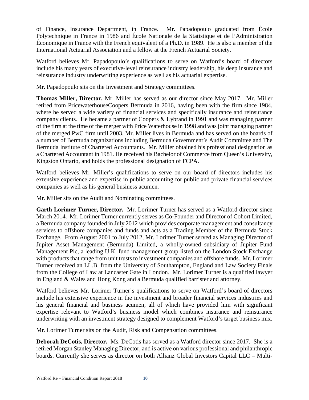of Finance, Insurance Department, in France. Mr. Papadopoulo graduated from École Polytechnique in France in 1986 and École Nationale de la Statistique et de l'Administration Économique in France with the French equivalent of a Ph.D. in 1989. He is also a member of the International Actuarial Association and a fellow at the French Actuarial Society.

Watford believes Mr. Papadopoulo's qualifications to serve on Watford's board of directors include his many years of executive-level reinsurance industry leadership, his deep insurance and reinsurance industry underwriting experience as well as his actuarial expertise.

Mr. Papadopoulo sits on the Investment and Strategy committees.

**Thomas Miller, Director.** Mr. Miller has served as our director since May 2017. Mr. Miller retired from PricewaterhouseCoopers Bermuda in 2016, having been with the firm since 1984, where he served a wide variety of financial services and specifically insurance and reinsurance company clients. He became a partner of Coopers & Lybrand in 1991 and was managing partner of the firm at the time of the merger with Price Waterhouse in 1998 and was joint managing partner of the merged PwC firm until 2003. Mr. Miller lives in Bermuda and has served on the boards of a number of Bermuda organizations including Bermuda Government's Audit Committee and The Bermuda Institute of Chartered Accountants. Mr. Miller obtained his professional designation as a Chartered Accountant in 1981. He received his Bachelor of Commerce from Queen's University, Kingston Ontario, and holds the professional designation of FCPA.

Watford believes Mr. Miller's qualifications to serve on our board of directors includes his extensive experience and expertise in public accounting for public and private financial services companies as well as his general business acumen.

Mr. Miller sits on the Audit and Nominating committees.

**Garth Lorimer Turner, Director.** Mr. Lorimer Turner has served as a Watford director since March 2014. Mr. Lorimer Turner currently serves as Co-Founder and Director of Cohort Limited, a Bermuda company founded in July 2012 which provides corporate management and consultancy services to offshore companies and funds and acts as a Trading Member of the Bermuda Stock Exchange. From August 2001 to July 2012, Mr. Lorimer Turner served as Managing Director of Jupiter Asset Management (Bermuda) Limited, a wholly-owned subsidiary of Jupiter Fund Management Plc, a leading U.K. fund management group listed on the London Stock Exchange with products that range from unit trusts to investment companies and offshore funds. Mr. Lorimer Turner received an LL.B. from the University of Southampton, England and Law Society Finals from the College of Law at Lancaster Gate in London. Mr. Lorimer Turner is a qualified lawyer in England & Wales and Hong Kong and a Bermuda qualified barrister and attorney.

Watford believes Mr. Lorimer Turner's qualifications to serve on Watford's board of directors include his extensive experience in the investment and broader financial services industries and his general financial and business acumen, all of which have provided him with significant expertise relevant to Watford's business model which combines insurance and reinsurance underwriting with an investment strategy designed to complement Watford's target business mix.

Mr. Lorimer Turner sits on the Audit, Risk and Compensation committees.

**Deborah DeCotis, Director.** Ms. DeCotis has served as a Watford director since 2017. She is a retired Morgan Stanley Managing Director, and is active on various professional and philanthropic boards. Currently she serves as director on both Allianz Global Investors Capital LLC – Multi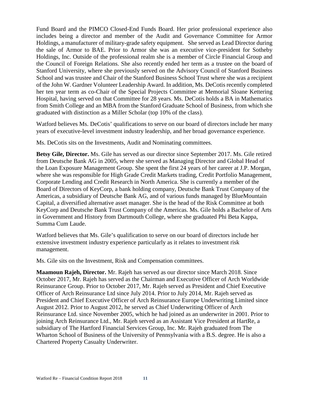Fund Board and the PIMCO Closed-End Funds Board. Her prior professional experience also includes being a director and member of the Audit and Governance Committee for Armor Holdings, a manufacturer of military-grade safety equipment. She served as Lead Director during the sale of Armor to BAE. Prior to Armor she was an executive vice-president for Sotheby Holdings, Inc. Outside of the professional realm she is a member of Circle Financial Group and the Council of Foreign Relations. She also recently ended her term as a trustee on the board of Stanford University, where she previously served on the Advisory Council of Stanford Business School and was trustee and Chair of the Stanford Business School Trust where she was a recipient of the John W. Gardner Volunteer Leadership Award. In addition, Ms. DeCotis recently completed her ten year term as co-Chair of the Special Projects Committee at Memorial Sloane Kettering Hospital, having served on that Committee for 28 years. Ms. DeCotis holds a BA in Mathematics from Smith College and an MBA from the Stanford Graduate School of Business, from which she graduated with distinction as a Miller Scholar (top 10% of the class).

Watford believes Ms. DeCotis' qualifications to serve on our board of directors include her many years of executive-level investment industry leadership, and her broad governance experience.

Ms. DeCotis sits on the Investments, Audit and Nominating committees.

**Betsy Gile, Director.** Ms. Gile has served as our director since September 2017. Ms. Gile retired from Deutsche Bank AG in 2005, where she served as Managing Director and Global Head of the Loan Exposure Management Group. She spent the first 24 years of her career at J.P. Morgan, where she was responsible for High Grade Credit Markets trading, Credit Portfolio Management, Corporate Lending and Credit Research in North America. She is currently a member of the Board of Directors of KeyCorp, a bank holding company, Deutsche Bank Trust Company of the Americas, a subsidiary of Deutsche Bank AG, and of various funds managed by BlueMountain Capital, a diversified alternative asset manager. She is the head of the Risk Committee at both KeyCorp and Deutsche Bank Trust Company of the Americas. Ms. Gile holds a Bachelor of Arts in Government and History from Dartmouth College, where she graduated Phi Beta Kappa, Summa Cum Laude.

Watford believes that Ms. Gile's qualification to serve on our board of directors include her extensive investment industry experience particularly as it relates to investment risk management.

Ms. Gile sits on the Investment, Risk and Compensation committees.

**Maamoun Rajeh, Director.** Mr. Rajeh has served as our director since March 2018. Since October 2017, Mr. Rajeh has served as the Chairman and Executive Officer of Arch Worldwide Reinsurance Group. Prior to October 2017, Mr. Rajeh served as President and Chief Executive Officer of Arch Reinsurance Ltd since July 2014. Prior to July 2014, Mr. Rajeh served as President and Chief Executive Officer of Arch Reinsurance Europe Underwriting Limited since August 2012. Prior to August 2012, he served as Chief Underwriting Officer of Arch Reinsurance Ltd. since November 2005, which he had joined as an underwriter in 2001. Prior to joining Arch Reinsurance Ltd., Mr. Rajeh served as an Assistant Vice President at HartRe, a subsidiary of The Hartford Financial Services Group, Inc. Mr. Rajeh graduated from The Wharton School of Business of the University of Pennsylvania with a B.S. degree. He is also a Chartered Property Casualty Underwriter.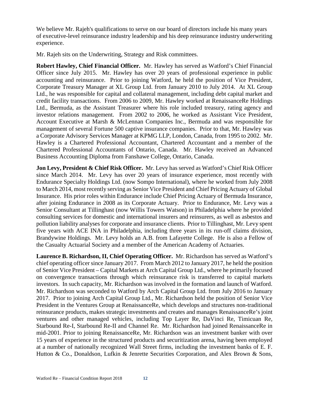We believe Mr. Rajeh's qualifications to serve on our board of directors include his many years of executive-level reinsurance industry leadership and his deep reinsurance industry underwriting experience.

Mr. Rajeh sits on the Underwriting, Strategy and Risk committees.

**Robert Hawley, Chief Financial Officer.** Mr. Hawley has served as Watford's Chief Financial Officer since July 2015. Mr. Hawley has over 20 years of professional experience in public accounting and reinsurance. Prior to joining Watford, he held the position of Vice President, Corporate Treasury Manager at XL Group Ltd. from January 2010 to July 2014. At XL Group Ltd., he was responsible for capital and collateral management, including debt capital market and credit facility transactions. From 2006 to 2009, Mr. Hawley worked at RenaissanceRe Holdings Ltd., Bermuda, as the Assistant Treasurer where his role included treasury, rating agency and investor relations management. From 2002 to 2006, he worked as Assistant Vice President, Account Executive at Marsh & McLennan Companies Inc., Bermuda and was responsible for management of several Fortune 500 captive insurance companies. Prior to that, Mr. Hawley was a Corporate Advisory Services Manager at KPMG LLP, London, Canada, from 1995 to 2002. Mr. Hawley is a Chartered Professional Accountant, Chartered Accountant and a member of the Chartered Professional Accountants of Ontario, Canada. Mr. Hawley received an Advanced Business Accounting Diploma from Fanshawe College, Ontario, Canada.

**Jon Levy, President & Chief Risk Officer.** Mr. Levy has served as Watford's Chief Risk Officer since March 2014. Mr. Levy has over 20 years of insurance experience, most recently with Endurance Specialty Holdings Ltd. (now Sompo International), where he worked from July 2008 to March 2014, most recently serving as Senior Vice President and Chief Pricing Actuary of Global Insurance. His prior roles within Endurance include Chief Pricing Actuary of Bermuda Insurance, after joining Endurance in 2008 as its Corporate Actuary. Prior to Endurance, Mr. Levy was a Senior Consultant at Tillinghast (now Willis Towers Watson) in Philadelphia where he provided consulting services for domestic and international insurers and reinsurers, as well as asbestos and pollution liability analyses for corporate and insurance clients. Prior to Tillinghast, Mr. Levy spent five years with ACE INA in Philadelphia, including three years in its run-off claims division, Brandywine Holdings. Mr. Levy holds an A.B. from Lafayette College. He is also a Fellow of the Casualty Actuarial Society and a member of the American Academy of Actuaries.

**Laurence B. Richardson, II, Chief Operating Officer.** Mr. Richardson has served as Watford's chief operating officer since January 2017. From March 2012 to January 2017, he held the position of Senior Vice President – Capital Markets at Arch Capital Group Ltd., where he primarily focused on convergence transactions through which reinsurance risk is transferred to capital markets investors. In such capacity, Mr. Richardson was involved in the formation and launch of Watford. Mr. Richardson was seconded to Watford by Arch Capital Group Ltd. from July 2016 to January 2017. Prior to joining Arch Capital Group Ltd., Mr. Richardson held the position of Senior Vice President in the Ventures Group at RenaissanceRe, which develops and structures non-traditional reinsurance products, makes strategic investments and creates and manages RenaissanceRe's joint ventures and other managed vehicles, including Top Layer Re, DaVinci Re, Timicuan Re, Starbound Re-I, Starbound Re-II and Channel Re. Mr. Richardson had joined RenaissanceRe in mid-2001. Prior to joining RenaissanceRe, Mr. Richardson was an investment banker with over 15 years of experience in the structured products and securitization arena, having been employed at a number of nationally recognized Wall Street firms, including the investment banks of E. F. Hutton & Co., Donaldson, Lufkin & Jenrette Securities Corporation, and Alex Brown & Sons,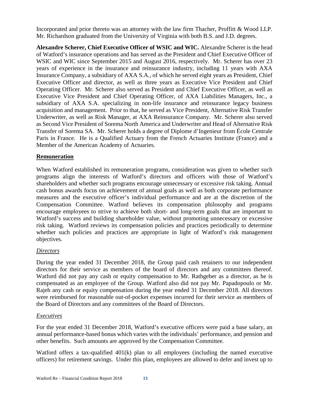Incorporated and prior thereto was an attorney with the law firm Thacher, Proffitt & Wood LLP. Mr. Richardson graduated from the University of Virginia with both B.S. and J.D. degrees.

**Alexandre Scherer, Chief Executive Officer of WSIC and WIC.** Alexandre Scherer is the head of Watford's insurance operations and has served as the President and Chief Executive Officer of WSIC and WIC since September 2015 and August 2016, respectively. Mr. Scherer has over 23 years of experience in the insurance and reinsurance industry, including 11 years with AXA Insurance Company, a subsidiary of AXA S.A., of which he served eight years as President, Chief Executive Officer and director, as well as three years as Executive Vice President and Chief Operating Officer. Mr. Scherer also served as President and Chief Executive Officer, as well as Executive Vice President and Chief Operating Officer, of AXA Liabilities Managers, Inc., a subsidiary of AXA S.A. specializing in non-life insurance and reinsurance legacy business acquisition and management. Prior to that, he served as Vice President, Alternative Risk Transfer Underwriter, as well as Risk Manager, at AXA Reinsurance Company. Mr. Scherer also served as Second Vice President of Sorema North America and Underwriter and Head of Alternative Risk Transfer of Sorema SA. Mr. Scherer holds a degree of Diplome d'Ingenieur from École Centrale Paris in France. He is a Qualified Actuary from the French Actuaries Institute (France) and a Member of the American Academy of Actuaries.

### <span id="page-15-0"></span>**Remuneration**

When Watford established its remuneration programs, consideration was given to whether such programs align the interests of Watford's directors and officers with those of Watford's shareholders and whether such programs encourage unnecessary or excessive risk taking. Annual cash bonus awards focus on achievement of annual goals as well as both corporate performance measures and the executive officer's individual performance and are at the discretion of the Compensation Committee. Watford believes its compensation philosophy and programs encourage employees to strive to achieve both short- and long-term goals that are important to Watford's success and building shareholder value, without promoting unnecessary or excessive risk taking. Watford reviews its compensation policies and practices periodically to determine whether such policies and practices are appropriate in light of Watford's risk management objectives.

#### *Directors*

During the year ended 31 December 2018, the Group paid cash retainers to our independent directors for their service as members of the board of directors and any committees thereof. Watford did not pay any cash or equity compensation to Mr. Rathgeber as a director, as he is compensated as an employee of the Group. Watford also did not pay Mr. Papadopoulo or Mr. Rajeh any cash or equity compensation during the year ended 31 December 2018. All directors were reimbursed for reasonable out-of-pocket expenses incurred for their service as members of the Board of Directors and any committees of the Board of Directors.

#### *Executives*

For the year ended 31 December 2018, Watford's executive officers were paid a base salary, an annual performance-based bonus which varies with the individuals' performance, and pension and other benefits. Such amounts are approved by the Compensation Committee.

Watford offers a tax-qualified 401(k) plan to all employees (including the named executive officers) for retirement savings. Under this plan, employees are allowed to defer and invest up to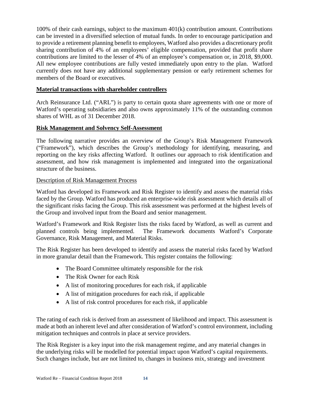100% of their cash earnings, subject to the maximum 401(k) contribution amount. Contributions can be invested in a diversified selection of mutual funds. In order to encourage participation and to provide a retirement planning benefit to employees, Watford also provides a discretionary profit sharing contribution of 4% of an employees' eligible compensation, provided that profit share contributions are limited to the lesser of 4% of an employee's compensation or, in 2018, \$9,000. All new employee contributions are fully vested immediately upon entry to the plan. Watford currently does not have any additional supplementary pension or early retirement schemes for members of the Board or executives.

### <span id="page-16-0"></span>**Material transactions with shareholder controllers**

Arch Reinsurance Ltd. ("ARL") is party to certain quota share agreements with one or more of Watford's operating subsidiaries and also owns approximately 11% of the outstanding common shares of WHL as of 31 December 2018.

#### <span id="page-16-1"></span>**Risk Management and Solvency Self-Assessment**

The following narrative provides an overview of the Group's Risk Management Framework ("Framework"), which describes the Group's methodology for identifying, measuring, and reporting on the key risks affecting Watford. It outlines our approach to risk identification and assessment, and how risk management is implemented and integrated into the organizational structure of the business.

### Description of Risk Management Process

Watford has developed its Framework and Risk Register to identify and assess the material risks faced by the Group. Watford has produced an enterprise-wide risk assessment which details all of the significant risks facing the Group. This risk assessment was performed at the highest levels of the Group and involved input from the Board and senior management.

Watford's Framework and Risk Register lists the risks faced by Watford, as well as current and planned controls being implemented. The Framework documents Watford's Corporate Governance, Risk Management, and Material Risks.

The Risk Register has been developed to identify and assess the material risks faced by Watford in more granular detail than the Framework. This register contains the following:

- The Board Committee ultimately responsible for the risk
- The Risk Owner for each Risk
- A list of monitoring procedures for each risk, if applicable
- A list of mitigation procedures for each risk, if applicable
- A list of risk control procedures for each risk, if applicable

The rating of each risk is derived from an assessment of likelihood and impact. This assessment is made at both an inherent level and after consideration of Watford's control environment, including mitigation techniques and controls in place at service providers.

The Risk Register is a key input into the risk management regime, and any material changes in the underlying risks will be modelled for potential impact upon Watford's capital requirements. Such changes include, but are not limited to, changes in business mix, strategy and investment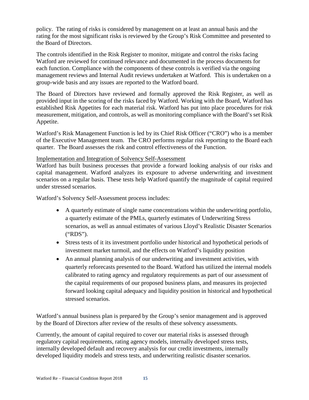policy. The rating of risks is considered by management on at least an annual basis and the rating for the most significant risks is reviewed by the Group's Risk Committee and presented to the Board of Directors.

The controls identified in the Risk Register to monitor, mitigate and control the risks facing Watford are reviewed for continued relevance and documented in the process documents for each function. Compliance with the components of these controls is verified via the ongoing management reviews and Internal Audit reviews undertaken at Watford. This is undertaken on a group-wide basis and any issues are reported to the Watford board.

The Board of Directors have reviewed and formally approved the Risk Register, as well as provided input in the scoring of the risks faced by Watford. Working with the Board, Watford has established Risk Appetites for each material risk. Watford has put into place procedures for risk measurement, mitigation, and controls, as well as monitoring compliance with the Board's set Risk Appetite.

Watford's Risk Management Function is led by its Chief Risk Officer ("CRO") who is a member of the Executive Management team. The CRO performs regular risk reporting to the Board each quarter. The Board assesses the risk and control effectiveness of the Function.

#### Implementation and Integration of Solvency Self-Assessment

Watford has built business processes that provide a forward looking analysis of our risks and capital management. Watford analyzes its exposure to adverse underwriting and investment scenarios on a regular basis. These tests help Watford quantify the magnitude of capital required under stressed scenarios.

Watford's Solvency Self-Assessment process includes:

- A quarterly estimate of single name concentrations within the underwriting portfolio, a quarterly estimate of the PMLs, quarterly estimates of Underwriting Stress scenarios, as well as annual estimates of various Lloyd's Realistic Disaster Scenarios ("RDS").
- Stress tests of it its investment portfolio under historical and hypothetical periods of investment market turmoil, and the effects on Watford's liquidity position
- An annual planning analysis of our underwriting and investment activities, with quarterly reforecasts presented to the Board. Watford has utilized the internal models calibrated to rating agency and regulatory requirements as part of our assessment of the capital requirements of our proposed business plans, and measures its projected forward looking capital adequacy and liquidity position in historical and hypothetical stressed scenarios.

Watford's annual business plan is prepared by the Group's senior management and is approved by the Board of Directors after review of the results of these solvency assessments.

Currently, the amount of capital required to cover our material risks is assessed through regulatory capital requirements, rating agency models, internally developed stress tests, internally developed default and recovery analysis for our credit investments, internally developed liquidity models and stress tests, and underwriting realistic disaster scenarios.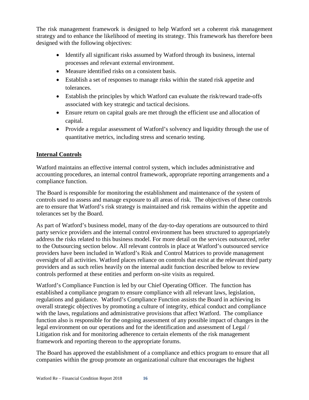The risk management framework is designed to help Watford set a coherent risk management strategy and to enhance the likelihood of meeting its strategy. This framework has therefore been designed with the following objectives:

- Identify all significant risks assumed by Watford through its business, internal processes and relevant external environment.
- Measure identified risks on a consistent basis.
- Establish a set of responses to manage risks within the stated risk appetite and tolerances.
- Establish the principles by which Watford can evaluate the risk/reward trade-offs associated with key strategic and tactical decisions.
- Ensure return on capital goals are met through the efficient use and allocation of capital.
- Provide a regular assessment of Watford's solvency and liquidity through the use of quantitative metrics, including stress and scenario testing.

# <span id="page-18-0"></span>**Internal Controls**

Watford maintains an effective internal control system, which includes administrative and accounting procedures, an internal control framework, appropriate reporting arrangements and a compliance function.

The Board is responsible for monitoring the establishment and maintenance of the system of controls used to assess and manage exposure to all areas of risk. The objectives of these controls are to ensure that Watford's risk strategy is maintained and risk remains within the appetite and tolerances set by the Board.

As part of Watford's business model, many of the day-to-day operations are outsourced to third party service providers and the internal control environment has been structured to appropriately address the risks related to this business model. For more detail on the services outsourced, refer to the Outsourcing section below. All relevant controls in place at Watford's outsourced service providers have been included in Watford's Risk and Control Matrices to provide management oversight of all activities. Watford places reliance on controls that exist at the relevant third party providers and as such relies heavily on the internal audit function described below to review controls performed at these entities and perform on-site visits as required.

Watford's Compliance Function is led by our Chief Operating Officer. The function has established a compliance program to ensure compliance with all relevant laws, legislation, regulations and guidance. Watford's Compliance Function assists the Board in achieving its overall strategic objectives by promoting a culture of integrity, ethical conduct and compliance with the laws, regulations and administrative provisions that affect Watford. The compliance function also is responsible for the ongoing assessment of any possible impact of changes in the legal environment on our operations and for the identification and assessment of Legal / Litigation risk and for monitoring adherence to certain elements of the risk management framework and reporting thereon to the appropriate forums.

The Board has approved the establishment of a compliance and ethics program to ensure that all companies within the group promote an organizational culture that encourages the highest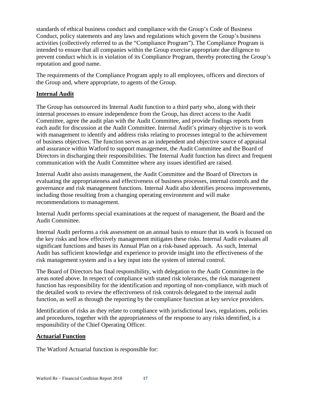standards of ethical business conduct and compliance with the Group's Code of Business Conduct, policy statements and any laws and regulations which govern the Group's business activities (collectively referred to as the "Compliance Program"). The Compliance Program is intended to ensure that all companies within the Group exercise appropriate due diligence to prevent conduct which is in violation of its Compliance Program, thereby protecting the Group's reputation and good name.

The requirements of the Compliance Program apply to all employees, officers and directors of the Group and, where appropriate, to agents of the Group.

# <span id="page-19-0"></span>**Internal Audit**

The Group has outsourced its Internal Audit function to a third party who, along with their internal processes to ensure independence from the Group, has direct access to the Audit Committee, agree the audit plan with the Audit Committee, and provide findings reports from each audit for discussion at the Audit Committee. Internal Audit's primary objective is to work with management to identify and address risks relating to processes integral to the achievement of business objectives. The function serves as an independent and objective source of appraisal and assurance within Watford to support management, the Audit Committee and the Board of Directors in discharging their responsibilities. The Internal Audit function has direct and frequent communication with the Audit Committee where any issues identified are raised.

Internal Audit also assists management, the Audit Committee and the Board of Directors in evaluating the appropriateness and effectiveness of business processes, internal controls and the governance and risk management functions. Internal Audit also identifies process improvements, including those resulting from a changing operating environment and will make recommendations to management.

Internal Audit performs special examinations at the request of management, the Board and the Audit Committee.

Internal Audit performs a risk assessment on an annual basis to ensure that its work is focused on the key risks and how effectively management mitigates these risks. Internal Audit evaluates all significant functions and bases its Annual Plan on a risk-based approach. As such, Internal Audit has sufficient knowledge and experience to provide insight into the effectiveness of the risk management system and is a key input into the system of internal control.

The Board of Directors has final responsibility, with delegation to the Audit Committee in the areas noted above. In respect of compliance with stated risk tolerances, the risk management function has responsibility for the identification and reporting of non-compliance, with much of the detailed work to review the effectiveness of risk controls delegated to the internal audit function, as well as through the reporting by the compliance function at key service providers.

Identification of risks as they relate to compliance with jurisdictional laws, regulations, policies and procedures, together with the appropriateness of the response to any risks identified, is a responsibility of the Chief Operating Officer.

# <span id="page-19-1"></span>**Actuarial Function**

The Watford Actuarial function is responsible for: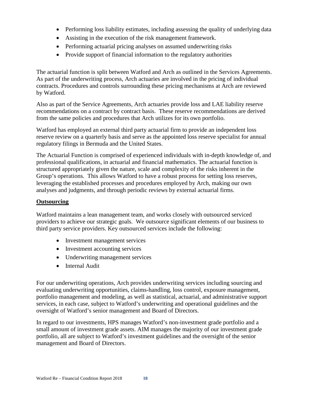- Performing loss liability estimates, including assessing the quality of underlying data
- Assisting in the execution of the risk management framework.
- Performing actuarial pricing analyses on assumed underwriting risks
- Provide support of financial information to the regulatory authorities

The actuarial function is split between Watford and Arch as outlined in the Services Agreements. As part of the underwriting process, Arch actuaries are involved in the pricing of individual contracts. Procedures and controls surrounding these pricing mechanisms at Arch are reviewed by Watford.

Also as part of the Service Agreements, Arch actuaries provide loss and LAE liability reserve recommendations on a contract by contract basis. These reserve recommendations are derived from the same policies and procedures that Arch utilizes for its own portfolio.

Watford has employed an external third party actuarial firm to provide an independent loss reserve review on a quarterly basis and serve as the appointed loss reserve specialist for annual regulatory filings in Bermuda and the United States.

The Actuarial Function is comprised of experienced individuals with in-depth knowledge of, and professional qualifications, in actuarial and financial mathematics. The actuarial function is structured appropriately given the nature, scale and complexity of the risks inherent in the Group's operations. This allows Watford to have a robust process for setting loss reserves, leveraging the established processes and procedures employed by Arch, making our own analyses and judgments, and through periodic reviews by external actuarial firms.

### <span id="page-20-0"></span>**Outsourcing**

Watford maintains a lean management team, and works closely with outsourced serviced providers to achieve our strategic goals. We outsource significant elements of our business to third party service providers. Key outsourced services include the following:

- Investment management services
- Investment accounting services
- Underwriting management services
- Internal Audit

For our underwriting operations, Arch provides underwriting services including sourcing and evaluating underwriting opportunities, claims-handling, loss control, exposure management, portfolio management and modeling, as well as statistical, actuarial, and administrative support services, in each case, subject to Watford's underwriting and operational guidelines and the oversight of Watford's senior management and Board of Directors.

In regard to our investments, HPS manages Watford's non-investment grade portfolio and a small amount of investment grade assets. AIM manages the majority of our investment grade portfolio, all are subject to Watford's investment guidelines and the oversight of the senior management and Board of Directors.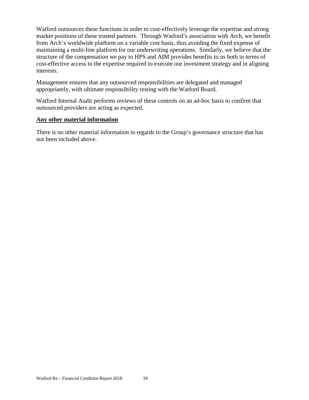Watford outsources these functions in order to cost-effectively leverage the expertise and strong market positions of these trusted partners. Through Watford's association with Arch, we benefit from Arch's worldwide platform on a variable cost basis, thus avoiding the fixed expense of maintaining a multi-line platform for our underwriting operations. Similarly, we believe that the structure of the compensation we pay to HPS and AIM provides benefits to us both in terms of cost-effective access to the expertise required to execute our investment strategy and in aligning interests.

Management ensures that any outsourced responsibilities are delegated and managed appropriately, with ultimate responsibility resting with the Watford Board.

Watford Internal Audit performs reviews of these controls on an ad-hoc basis to confirm that outsourced providers are acting as expected.

#### <span id="page-21-0"></span>**Any other material information**

There is no other material information in regards to the Group's governance structure that has not been included above.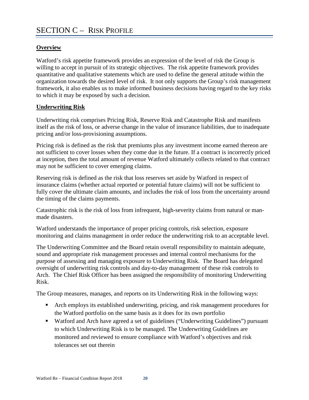# <span id="page-22-1"></span><span id="page-22-0"></span>**Overview**

Watford's risk appetite framework provides an expression of the level of risk the Group is willing to accept in pursuit of its strategic objectives. The risk appetite framework provides quantitative and qualitative statements which are used to define the general attitude within the organization towards the desired level of risk. It not only supports the Group's risk management framework, it also enables us to make informed business decisions having regard to the key risks to which it may be exposed by such a decision.

# <span id="page-22-2"></span>**Underwriting Risk**

Underwriting risk comprises Pricing Risk, Reserve Risk and Catastrophe Risk and manifests itself as the risk of loss, or adverse change in the value of insurance liabilities, due to inadequate pricing and/or loss-provisioning assumptions.

Pricing risk is defined as the risk that premiums plus any investment income earned thereon are not sufficient to cover losses when they come due in the future. If a contract is incorrectly priced at inception, then the total amount of revenue Watford ultimately collects related to that contract may not be sufficient to cover emerging claims.

Reserving risk is defined as the risk that loss reserves set aside by Watford in respect of insurance claims (whether actual reported or potential future claims) will not be sufficient to fully cover the ultimate claim amounts, and includes the risk of loss from the uncertainty around the timing of the claims payments.

Catastrophic risk is the risk of loss from infrequent, high-severity claims from natural or manmade disasters.

Watford understands the importance of proper pricing controls, risk selection, exposure monitoring and claims management in order reduce the underwriting risk to an acceptable level.

The Underwriting Committee and the Board retain overall responsibility to maintain adequate, sound and appropriate risk management processes and internal control mechanisms for the purpose of assessing and managing exposure to Underwriting Risk. The Board has delegated oversight of underwriting risk controls and day-to-day management of these risk controls to Arch. The Chief Risk Officer has been assigned the responsibility of monitoring Underwriting Risk.

The Group measures, manages, and reports on its Underwriting Risk in the following ways:

- **Arch employs its established underwriting, pricing, and risk management procedures for** the Watford portfolio on the same basis as it does for its own portfolio
- Watford and Arch have agreed a set of guidelines ("Underwriting Guidelines") pursuant to which Underwriting Risk is to be managed. The Underwriting Guidelines are monitored and reviewed to ensure compliance with Watford's objectives and risk tolerances set out therein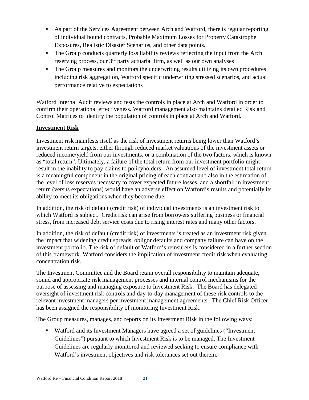- As part of the Services Agreement between Arch and Watford, there is regular reporting of individual bound contracts, Probable Maximum Losses for Property Catastrophe Exposures, Realistic Disaster Scenarios, and other data points.
- The Group conducts quarterly loss liability reviews reflecting the input from the Arch reserving process, our 3<sup>rd</sup> party actuarial firm, as well as our own analyses
- The Group measures and monitors the underwriting results utilizing its own procedures including risk aggregation, Watford specific underwriting stressed scenarios, and actual performance relative to expectations

Watford Internal Audit reviews and tests the controls in place at Arch and Watford in order to confirm their operational effectiveness. Watford management also maintains detailed Risk and Control Matrices to identify the population of controls in place at Arch and Watford.

# <span id="page-23-0"></span>**Investment Risk**

Investment risk manifests itself as the risk of investment returns being lower than Watford's investment return targets, either through reduced market valuations of the investment assets or reduced income/yield from our investments, or a combination of the two factors, which is known as "total return". Ultimately, a failure of the total return from our investment portfolio might result in the inability to pay claims to policyholders. An assumed level of investment total return is a meaningful component in the original pricing of each contract and also in the estimation of the level of loss reserves necessary to cover expected future losses, and a shortfall in investment return (versus expectations) would have an adverse effect on Watford's results and potentially its ability to meet its obligations when they become due.

In addition, the risk of default (credit risk) of individual investments is an investment risk to which Watford is subject. Credit risk can arise from borrowers suffering business or financial stress, from increased debt service costs due to rising interest rates and many other factors.

In addition, the risk of default (credit risk) of investments is treated as an investment risk given the impact that widening credit spreads, obligor defaults and company failure can have on the investment portfolio. The risk of default of Watford's reinsurers is considered in a further section of this framework. Watford considers the implication of investment credit risk when evaluating concentration risk.

The Investment Committee and the Board retain overall responsibility to maintain adequate, sound and appropriate risk management processes and internal control mechanisms for the purpose of assessing and managing exposure to Investment Risk. The Board has delegated oversight of investment risk controls and day-to-day management of these risk controls to the relevant investment managers per investment management agreements. The Chief Risk Officer has been assigned the responsibility of monitoring Investment Risk.

The Group measures, manages, and reports on its Investment Risk in the following ways:

 Watford and its Investment Managers have agreed a set of guidelines ("Investment Guidelines") pursuant to which Investment Risk is to be managed. The Investment Guidelines are regularly monitored and reviewed seeking to ensure compliance with Watford's investment objectives and risk tolerances set out therein.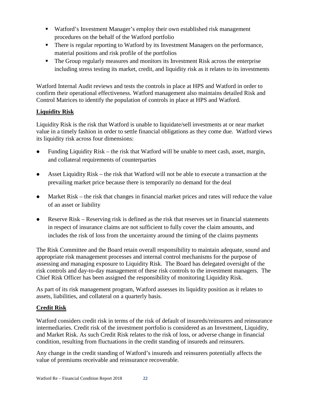- Watford's Investment Manager's employ their own established risk management procedures on the behalf of the Watford portfolio
- There is regular reporting to Watford by its Investment Managers on the performance, material positions and risk profile of the portfolios
- The Group regularly measures and monitors its Investment Risk across the enterprise including stress testing its market, credit, and liquidity risk as it relates to its investments

Watford Internal Audit reviews and tests the controls in place at HPS and Watford in order to confirm their operational effectiveness. Watford management also maintains detailed Risk and Control Matrices to identify the population of controls in place at HPS and Watford.

# <span id="page-24-0"></span>**Liquidity Risk**

Liquidity Risk is the risk that Watford is unable to liquidate/sell investments at or near market value in a timely fashion in order to settle financial obligations as they come due. Watford views its liquidity risk across four dimensions:

- Funding Liquidity Risk the risk that Watford will be unable to meet cash, asset, margin, and collateral requirements of counterparties
- Asset Liquidity Risk the risk that Watford will not be able to execute a transaction at the prevailing market price because there is temporarily no demand for the deal
- Market Risk the risk that changes in financial market prices and rates will reduce the value of an asset or liability
- Reserve Risk Reserving risk is defined as the risk that reserves set in financial statements in respect of insurance claims are not sufficient to fully cover the claim amounts, and includes the risk of loss from the uncertainty around the timing of the claims payments

The Risk Committee and the Board retain overall responsibility to maintain adequate, sound and appropriate risk management processes and internal control mechanisms for the purpose of assessing and managing exposure to Liquidity Risk. The Board has delegated oversight of the risk controls and day-to-day management of these risk controls to the investment managers. The Chief Risk Officer has been assigned the responsibility of monitoring Liquidity Risk.

As part of its risk management program, Watford assesses its liquidity position as it relates to assets, liabilities, and collateral on a quarterly basis.

# <span id="page-24-1"></span>**Credit Risk**

Watford considers credit risk in terms of the risk of default of insureds/reinsurers and reinsurance intermediaries. Credit risk of the investment portfolio is considered as an Investment, Liquidity, and Market Risk. As such Credit Risk relates to the risk of loss, or adverse change in financial condition, resulting from fluctuations in the credit standing of insureds and reinsurers.

Any change in the credit standing of Watford's insureds and reinsurers potentially affects the value of premiums receivable and reinsurance recoverable.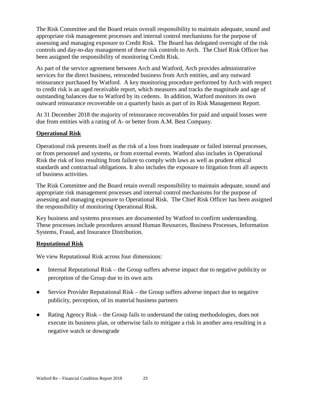The Risk Committee and the Board retain overall responsibility to maintain adequate, sound and appropriate risk management processes and internal control mechanisms for the purpose of assessing and managing exposure to Credit Risk. The Board has delegated oversight of the risk controls and day-to-day management of these risk controls to Arch. The Chief Risk Officer has been assigned the responsibility of monitoring Credit Risk.

As part of the service agreement between Arch and Watford, Arch provides administrative services for the direct business, retroceded business from Arch entities, and any outward reinsurance purchased by Watford. A key monitoring procedure performed by Arch with respect to credit risk is an aged receivable report, which measures and tracks the magnitude and age of outstanding balances due to Watford by its cedents. In addition, Watford monitors its own outward reinsurance recoverable on a quarterly basis as part of its Risk Management Report.

At 31 December 2018 the majority of reinsurance recoverables for paid and unpaid losses were due from entities with a rating of A- or better from A.M. Best Company.

# <span id="page-25-0"></span>**Operational Risk**

Operational risk presents itself as the risk of a loss from inadequate or failed internal processes, or from personnel and systems, or from external events. Watford also includes in Operational Risk the risk of loss resulting from failure to comply with laws as well as prudent ethical standards and contractual obligations. It also includes the exposure to litigation from all aspects of business activities.

The Risk Committee and the Board retain overall responsibility to maintain adequate, sound and appropriate risk management processes and internal control mechanisms for the purpose of assessing and managing exposure to Operational Risk. The Chief Risk Officer has been assigned the responsibility of monitoring Operational Risk.

Key business and systems processes are documented by Watford to confirm understanding. These processes include procedures around Human Resources, Business Processes, Information Systems, Fraud, and Insurance Distribution.

# <span id="page-25-1"></span>**Reputational Risk**

We view Reputational Risk across four dimensions:

- Internal Reputational Risk the Group suffers adverse impact due to negative publicity or perception of the Group due to its own acts
- Service Provider Reputational Risk the Group suffers adverse impact due to negative publicity, perception, of its material business partners
- Rating Agency Risk the Group fails to understand the rating methodologies, does not execute its business plan, or otherwise fails to mitigate a risk in another area resulting in a negative watch or downgrade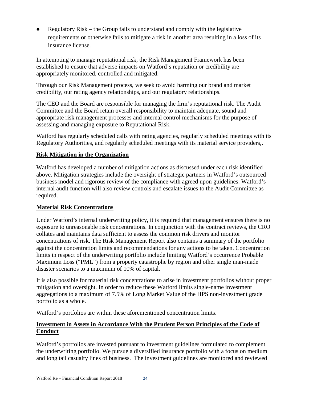Regulatory Risk – the Group fails to understand and comply with the legislative requirements or otherwise fails to mitigate a risk in another area resulting in a loss of its insurance license.

In attempting to manage reputational risk, the Risk Management Framework has been established to ensure that adverse impacts on Watford's reputation or credibility are appropriately monitored, controlled and mitigated.

Through our Risk Management process, we seek to avoid harming our brand and market credibility, our rating agency relationships, and our regulatory relationships.

The CEO and the Board are responsible for managing the firm's reputational risk. The Audit Committee and the Board retain overall responsibility to maintain adequate, sound and appropriate risk management processes and internal control mechanisms for the purpose of assessing and managing exposure to Reputational Risk.

Watford has regularly scheduled calls with rating agencies, regularly scheduled meetings with its Regulatory Authorities, and regularly scheduled meetings with its material service providers,.

# <span id="page-26-0"></span>**Risk Mitigation in the Organization**

Watford has developed a number of mitigation actions as discussed under each risk identified above. Mitigation strategies include the oversight of strategic partners in Watford's outsourced business model and rigorous review of the compliance with agreed upon guidelines. Watford's internal audit function will also review controls and escalate issues to the Audit Committee as required.

# <span id="page-26-1"></span>**Material Risk Concentrations**

Under Watford's internal underwriting policy, it is required that management ensures there is no exposure to unreasonable risk concentrations. In conjunction with the contract reviews, the CRO collates and maintains data sufficient to assess the common risk drivers and monitor concentrations of risk. The Risk Management Report also contains a summary of the portfolio against the concentration limits and recommendations for any actions to be taken. Concentration limits in respect of the underwriting portfolio include limiting Watford's occurrence Probable Maximum Loss ("PML") from a property catastrophe by region and other single man-made disaster scenarios to a maximum of 10% of capital.

It is also possible for material risk concentrations to arise in investment portfolios without proper mitigation and oversight. In order to reduce these Watford limits single-name investment aggregations to a maximum of 7.5% of Long Market Value of the HPS non-investment grade portfolio as a whole.

Watford's portfolios are within these aforementioned concentration limits.

# <span id="page-26-2"></span>**Investment in Assets in Accordance With the Prudent Person Principles of the Code of Conduct**

Watford's portfolios are invested pursuant to investment guidelines formulated to complement the underwriting portfolio. We pursue a diversified insurance portfolio with a focus on medium and long tail casualty lines of business. The investment guidelines are monitored and reviewed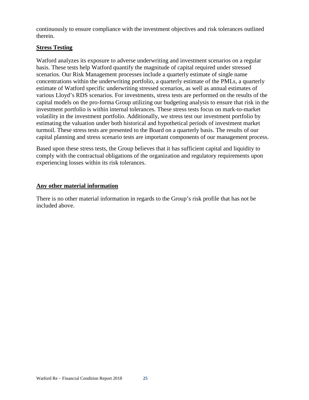continuously to ensure compliance with the investment objectives and risk tolerances outlined therein.

### <span id="page-27-0"></span>**Stress Testing**

Watford analyzes its exposure to adverse underwriting and investment scenarios on a regular basis. These tests help Watford quantify the magnitude of capital required under stressed scenarios. Our Risk Management processes include a quarterly estimate of single name concentrations within the underwriting portfolio, a quarterly estimate of the PMLs, a quarterly estimate of Watford specific underwriting stressed scenarios, as well as annual estimates of various Lloyd's RDS scenarios. For investments, stress tests are performed on the results of the capital models on the pro-forma Group utilizing our budgeting analysis to ensure that risk in the investment portfolio is within internal tolerances. These stress tests focus on mark-to-market volatility in the investment portfolio. Additionally, we stress test our investment portfolio by estimating the valuation under both historical and hypothetical periods of investment market turmoil. These stress tests are presented to the Board on a quarterly basis. The results of our capital planning and stress scenario tests are important components of our management process.

Based upon these stress tests, the Group believes that it has sufficient capital and liquidity to comply with the contractual obligations of the organization and regulatory requirements upon experiencing losses within its risk tolerances.

### <span id="page-27-1"></span>**Any other material information**

There is no other material information in regards to the Group's risk profile that has not be included above.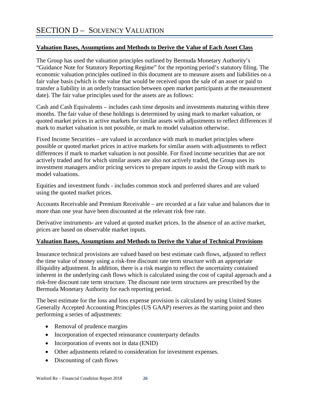# <span id="page-28-1"></span><span id="page-28-0"></span>**Valuation Bases, Assumptions and Methods to Derive the Value of Each Asset Class**

The Group has used the valuation principles outlined by Bermuda Monetary Authority's "Guidance Note for Statutory Reporting Regime" for the reporting period's statutory filing. The economic valuation principles outlined in this document are to measure assets and liabilities on a fair value basis (which is the value that would be received upon the sale of an asset or paid to transfer a liability in an orderly transaction between open market participants at the measurement date). The fair value principles used for the assets are as follows:

Cash and Cash Equivalents – includes cash time deposits and investments maturing within three months. The fair value of these holdings is determined by using mark to market valuation, or quoted market prices in active markets for similar assets with adjustments to reflect differences if mark to market valuation is not possible, or mark to model valuation otherwise.

Fixed Income Securities – are valued in accordance with mark to market principles where possible or quoted market prices in active markets for similar assets with adjustments to reflect differences if mark to market valuation is not possible. For fixed income securities that are not actively traded and for which similar assets are also not actively traded, the Group uses its investment managers and/or pricing services to prepare inputs to assist the Group with mark to model valuations.

Equities and investment funds - includes common stock and preferred shares and are valued using the quoted market prices.

Accounts Receivable and Premium Receivable – are recorded at a fair value and balances due in more than one year have been discounted at the relevant risk free rate.

Derivative instruments- are valued at quoted market prices. In the absence of an active market, prices are based on observable market inputs.

# <span id="page-28-2"></span>**Valuation Bases, Assumptions and Methods to Derive the Value of Technical Provisions**

Insurance technical provisions are valued based on best estimate cash flows, adjusted to reflect the time value of money using a risk-free discount rate term structure with an appropriate illiquidity adjustment. In addition, there is a risk margin to reflect the uncertainty contained inherent in the underlying cash flows which is calculated using the cost of capital approach and a risk-free discount rate term structure. The discount rate term structures are prescribed by the Bermuda Monetary Authority for each reporting period.

The best estimate for the loss and loss expense provision is calculated by using United States Generally Accepted Accounting Principles (US GAAP) reserves as the starting point and then performing a series of adjustments:

- Removal of prudence margins
- Incorporation of expected reinsurance counterparty defaults
- Incorporation of events not in data (ENID)
- Other adjustments related to consideration for investment expenses.
- Discounting of cash flows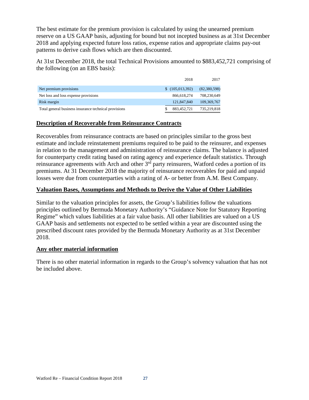The best estimate for the premium provision is calculated by using the unearned premium reserve on a US GAAP basis, adjusting for bound but not incepted business as at 31st December 2018 and applying expected future loss ratios, expense ratios and appropriate claims pay-out patterns to derive cash flows which are then discounted.

At 31st December 2018, the total Technical Provisions amounted to \$883,452,721 comprising of the following (on an EBS basis):

|                                                       | 2018            | 2017         |
|-------------------------------------------------------|-----------------|--------------|
| Net premium provisions                                | \$(105,013,392) | (82,380,598) |
| Net loss and loss expense provisions                  | 866,618,274     | 708,230,649  |
| Risk margin                                           | 121,847,840     | 109,369,767  |
| Total general business insurance technical provisions | 883,452,721     | 735,219,818  |

# <span id="page-29-0"></span>**Description of Recoverable from Reinsurance Contracts**

Recoverables from reinsurance contracts are based on principles similar to the gross best estimate and include reinstatement premiums required to be paid to the reinsurer, and expenses in relation to the management and administration of reinsurance claims. The balance is adjusted for counterparty credit rating based on rating agency and experience default statistics. Through reinsurance agreements with Arch and other 3<sup>rd</sup> party reinsurers, Watford cedes a portion of its premiums. At 31 December 2018 the majority of reinsurance recoverables for paid and unpaid losses were due from counterparties with a rating of A- or better from A.M. Best Company.

# <span id="page-29-1"></span>**Valuation Bases, Assumptions and Methods to Derive the Value of Other Liabilities**

Similar to the valuation principles for assets, the Group's liabilities follow the valuations principles outlined by Bermuda Monetary Authority's "Guidance Note for Statutory Reporting Regime" which values liabilities at a fair value basis. All other liabilities are valued on a US GAAP basis and settlements not expected to be settled within a year are discounted using the prescribed discount rates provided by the Bermuda Monetary Authority as at 31st December 2018.

# <span id="page-29-2"></span>**Any other material information**

There is no other material information in regards to the Group's solvency valuation that has not be included above.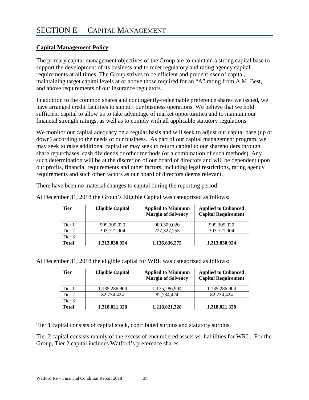# <span id="page-30-1"></span><span id="page-30-0"></span>**Capital Management Policy**

The primary capital management objectives of the Group are to maintain a strong capital base to support the development of its business and to meet regulatory and rating agency capital requirements at all times. The Group strives to be efficient and prudent user of capital, maintaining target capital levels at or above those required for an "A" rating from A.M. Best, and above requirements of our insurance regulators.

In addition to the common shares and contingently-redeemable preference shares we issued, we have arranged credit facilities to support our business operations. We believe that we hold sufficient capital to allow us to take advantage of market opportunities and to maintain our financial strength ratings, as well as to comply with all applicable statutory regulations.

We monitor our capital adequacy on a regular basis and will seek to adjust our capital base (up or down) according to the needs of our business. As part of our capital management program, we may seek to raise additional capital or may seek to return capital to our shareholders through share repurchases, cash dividends or other methods (or a combination of such methods). Any such determination will be at the discretion of our board of directors and will be dependent upon our profits, financial requirements and other factors, including legal restrictions, rating agency requirements and such other factors as our board of directors deems relevant.

There have been no material changes to capital during the reporting period.

| <b>Tier</b> | <b>Eligible Capital</b> | <b>Applied to Minimum</b><br><b>Margin of Solvency</b> | <b>Applied to Enhanced</b><br><b>Capital Requirement</b> |
|-------------|-------------------------|--------------------------------------------------------|----------------------------------------------------------|
| Tier 1      | 909,309,020             | 909,309,020                                            | 909,309,020                                              |
| Tier 2      | 303,721,904             | 227, 327, 255                                          | 303,721,904                                              |
| Tier 3      |                         |                                                        |                                                          |
| Total       | 1,213,030,924           | 1,136,636,275                                          | 1,213,030,924                                            |

At December 31, 2018 the Group's Eligible Capital was categorized as follows:

At December 31, 2018 the eligible capital for WRL was categorized as follows:

| Tier   | <b>Eligible Capital</b> | <b>Applied to Minimum</b><br><b>Margin of Solvency</b> | <b>Applied to Enhanced</b><br><b>Capital Requirement</b> |
|--------|-------------------------|--------------------------------------------------------|----------------------------------------------------------|
| Tier 1 | 1,135,286,904           | 1,135,286,904                                          | 1,135,286,904                                            |
| Tier 2 | 82,734,424              | 82,734,424                                             | 82.734.424                                               |
| Tier 3 |                         |                                                        |                                                          |
| Total  | 1,218,021,328           | 1,218,021,328                                          | 1,218,021,328                                            |

Tier 1 capital consists of capital stock, contributed surplus and statutory surplus.

Tier 2 capital consists mainly of the excess of encumbered assets vs. liabilities for WRL. For the Group, Tier 2 capital includes Watford's preference shares.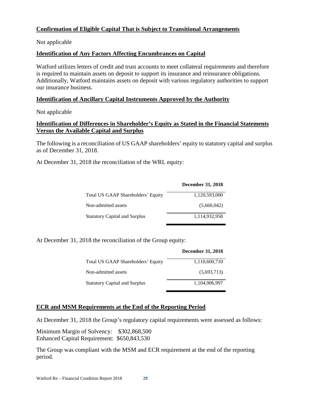# <span id="page-31-0"></span>**Confirmation of Eligible Capital That is Subject to Transitional Arrangements**

Not applicable

### <span id="page-31-1"></span>**Identification of Any Factors Affecting Encumbrances on Capital**

Watford utilizes letters of credit and trust accounts to meet collateral requirements and therefore is required to maintain assets on deposit to support its insurance and reinsurance obligations. Additionally, Watford maintains assets on deposit with various regulatory authorities to support our insurance business.

#### <span id="page-31-2"></span>**Identification of Ancillary Capital Instruments Approved by the Authority**

Not applicable

### <span id="page-31-3"></span>**Identification of Differences in Shareholder's Equity as Stated in the Financial Statements Versus the Available Capital and Surplus**

The following is a reconciliation of US GAAP shareholders' equity to statutory capital and surplus as of December 31, 2018.

At December 31, 2018 the reconciliation of the WRL equity:

|                                      | December 31, 2018 |
|--------------------------------------|-------------------|
| Total US GAAP Shareholders' Equity   | 1,120,593,000     |
| Non-admitted assets                  | (5,660,042)       |
| <b>Statutory Capital and Surplus</b> | 1.114.932.958     |

At December 31, 2018 the reconciliation of the Group equity:

|                                      | December 31, 2018 |
|--------------------------------------|-------------------|
| Total US GAAP Shareholders' Equity   | 1,110,600,710     |
| Non-admitted assets                  | (5,693,713)       |
| <b>Statutory Capital and Surplus</b> | 1.104.906.997     |

#### <span id="page-31-4"></span>**ECR and MSM Requirements at the End of the Reporting Period**

At December 31, 2018 the Group's regulatory capital requirements were assessed as follows:

Minimum Margin of Solvency: \$302,868,500 Enhanced Capital Requirement: \$650,843,530

The Group was compliant with the MSM and ECR requirement at the end of the reporting period.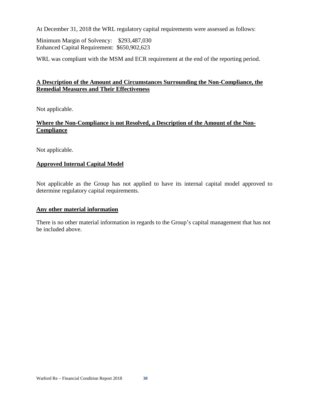At December 31, 2018 the WRL regulatory capital requirements were assessed as follows:

Minimum Margin of Solvency: \$293,487,030 Enhanced Capital Requirement: \$650,902,623

WRL was compliant with the MSM and ECR requirement at the end of the reporting period.

# <span id="page-32-0"></span>**A Description of the Amount and Circumstances Surrounding the Non-Compliance, the Remedial Measures and Their Effectiveness**

Not applicable.

### <span id="page-32-1"></span>**Where the Non-Compliance is not Resolved, a Description of the Amount of the Non-Compliance**

Not applicable.

# <span id="page-32-2"></span>**Approved Internal Capital Model**

Not applicable as the Group has not applied to have its internal capital model approved to determine regulatory capital requirements.

#### <span id="page-32-3"></span>**Any other material information**

There is no other material information in regards to the Group's capital management that has not be included above.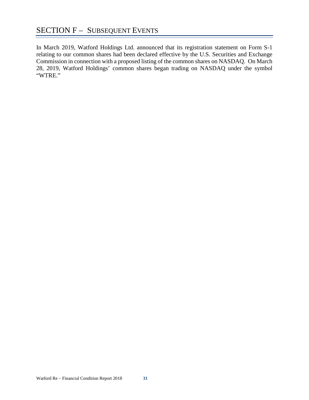<span id="page-33-0"></span>In March 2019, Watford Holdings Ltd. announced that its registration statement on Form S-1 relating to our common shares had been declared effective by the U.S. Securities and Exchange Commission in connection with a proposed listing of the common shares on NASDAQ. On March 28, 2019, Watford Holdings' common shares began trading on NASDAQ under the symbol "WTRE."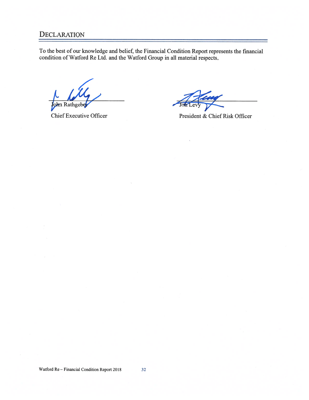# **DECLARATION**

To the best of our knowledge and belief, the Financial Condition Report represents the financial condition of Watford Re Ltd. and the Watford Group in all material respects.

ohn Rathgebe

**Chief Executive Officer** 

President & Chief Risk Officer